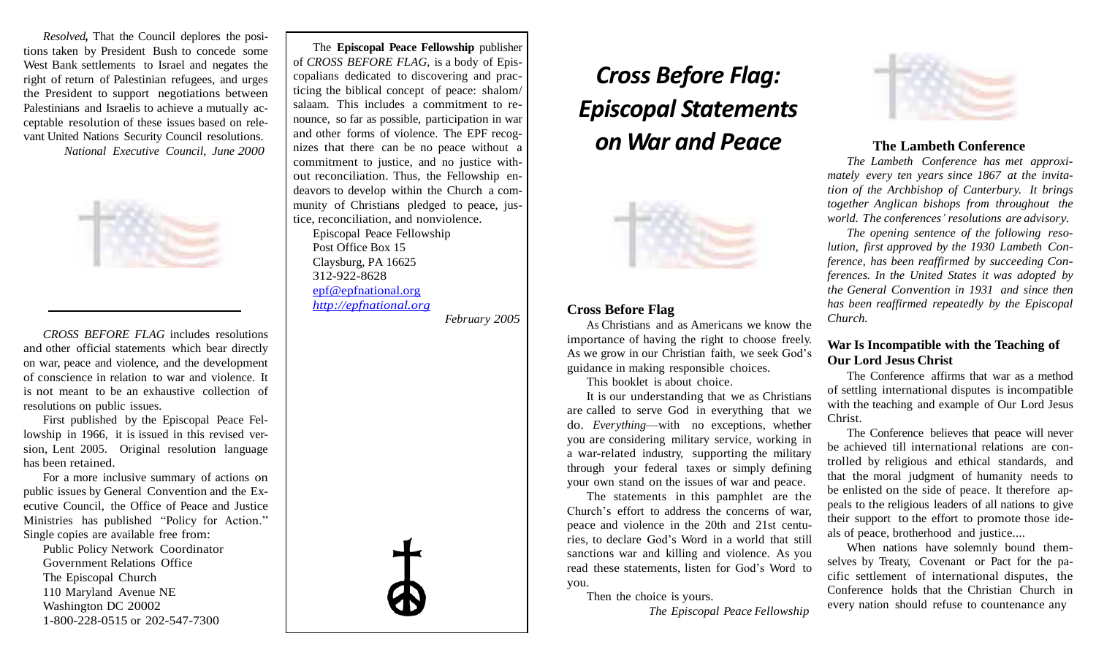*Resolved,* That the Council deplores the positions taken by President Bush to concede some West Bank settlements to Israel and negates the right of return of Palestinian refugees, and urges the President to support negotiations between Palestinians and Israelis to achieve a mutually acceptable resolution of these issues based on relevant United Nations Security Council resolutions. *National Executive Council, June 2000*



*CROSS BEFORE FLAG* includes resolutions and other official statements which bear directly on war, peace and violence, and the development of conscience in relation to war and violence. It is not meant to be an exhaustive collection of resolutions on public issues.

First published by the Episcopal Peace Fellowship in 1966, it is issued in this revised version, Lent 2005. Original resolution language has been retained.

For a more inclusive summary of actions on public issues by General Convention and the Executive Council, the Office of Peace and Justice Ministries has published "Policy for Action." Single copies are available free from:

Public Policy Network Coordinator Government Relations Office The Episcopal Church 110 Maryland Avenue NE Washington DC 20002 1-800-228-0515 or 202-547-7300

The **Episcopal Peace Fellowship** publisher of *CROSS BEFORE FLAG*, is a body of Episcopalians dedicated to discovering and practicing the biblical concept of peace: shalom/ salaam. This includes a commitment to renounce, so far as possible, participation in war and other forms of violence. The EPF recognizes that there can be no peace without a commitment to justice, and no justice without reconciliation. Thus, the Fellowship endeavors to develop within the Church a community of Christians pledged to peace, justice, reconciliation, and nonviolence. Episcopal Peace Fellowship Post Office Box 15 Claysburg, PA 16625 312-922-8628 [epf@epfnational.org](mailto:epf@epfnational.org)

*[http://epfnational.org](http://epfnational.org/)*

*February 2005*



# *Cross Before Flag: Episcopal Statements on War and Peace*



# **Cross Before Flag**

As Christians and as Americans we know the importance of having the right to choose freely. As we grow in our Christian faith, we seek God's guidance in making responsible choices.

This booklet is about choice.

It is our understanding that we as Christians are called to serve God in everything that we do. *Everything*—with no exceptions, whether you are considering military service, working in a war-related industry, supporting the military through your federal taxes or simply defining your own stand on the issues of war and peace.

The statements in this pamphlet are the Church's effort to address the concerns of war, peace and violence in the 20th and 21st centuries, to declare God's Word in a world that still sanctions war and killing and violence. As you read these statements, listen for God's Word to you.

Then the choice is yours.

*The Episcopal Peace Fellowship*



# **The Lambeth Conference**

*The Lambeth Conference has met approximately every ten years since 1867 at the invitation of the Archbishop of Canterbury. It brings together Anglican bishops from throughout the world. The conferences' resolutions are advisory.*

*The opening sentence of the following resolution, first approved by the 1930 Lambeth Conference, has been reaffirmed by succeeding Conferences. In the United States it was adopted by the General Convention in 1931 and since then has been reaffirmed repeatedly by the Episcopal Church.*

# **War Is Incompatible with the Teaching of Our Lord Jesus Christ**

The Conference affirms that war as a method of settling international disputes is incompatible with the teaching and example of Our Lord Jesus Christ.

The Conference believes that peace will never be achieved till international relations are controlled by religious and ethical standards, and that the moral judgment of humanity needs to be enlisted on the side of peace. It therefore appeals to the religious leaders of all nations to give their support to the effort to promote those ideals of peace, brotherhood and justice....

When nations have solemnly bound themselves by Treaty, Covenant or Pact for the pacific settlement of international disputes, the Conference holds that the Christian Church in every nation should refuse to countenance any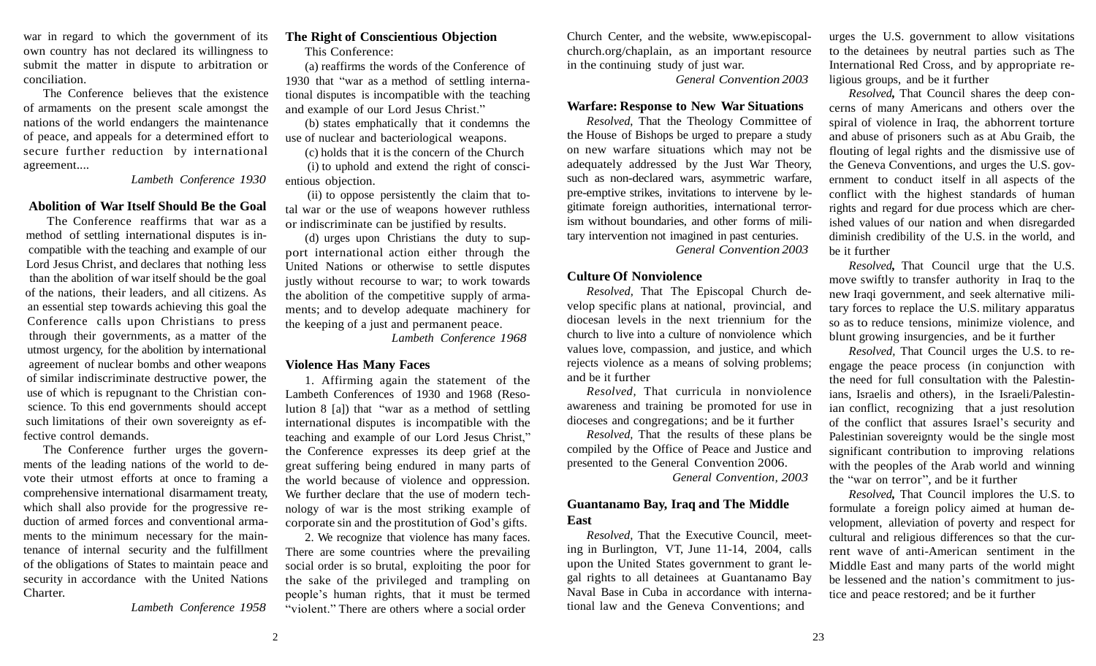war in regard to which the government of its own country has not declared its willingness to submit the matter in dispute to arbitration or conciliation.

The Conference believes that the existence of armaments on the present scale amongst the nations of the world endangers the maintenance of peace, and appeals for a determined effort to secure further reduction by international agreement....

*Lambeth Conference 1930*

#### **Abolition of War Itself Should Be the Goal**

The Conference reaffirms that war as a method of settling international disputes is incompatible with the teaching and example of our Lord Jesus Christ, and declares that nothing less than the abolition of war itself should be the goal of the nations, their leaders, and all citizens. As an essential step towards achieving this goal the Conference calls upon Christians to press through their governments, as a matter of the utmost urgency, for the abolition by international agreement of nuclear bombs and other weapons of similar indiscriminate destructive power, the use of which is repugnant to the Christian conscience. To this end governments should accept such limitations of their own sovereignty as effective control demands.

The Conference further urges the governments of the leading nations of the world to devote their utmost efforts at once to framing a comprehensive international disarmament treaty, which shall also provide for the progressive reduction of armed forces and conventional armaments to the minimum necessary for the maintenance of internal security and the fulfillment of the obligations of States to maintain peace and security in accordance with the United Nations Charter.

*Lambeth Conference 1958*

## **The Right of Conscientious Objection** This Conference:

(a) reaffirms the words of the Conference of 1930 that "war as a method of settling international disputes is incompatible with the teaching and example of our Lord Jesus Christ."

(b) states emphatically that it condemns the use of nuclear and bacteriological weapons.

(c) holds that it is the concern of the Church (i) to uphold and extend the right of conscientious objection.

(ii) to oppose persistently the claim that total war or the use of weapons however ruthless or indiscriminate can be justified by results.

(d) urges upon Christians the duty to support international action either through the United Nations or otherwise to settle disputes justly without recourse to war; to work towards the abolition of the competitive supply of armaments; and to develop adequate machinery for the keeping of a just and permanent peace.

*Lambeth Conference 1968*

#### **Violence Has Many Faces**

1. Affirming again the statement of the Lambeth Conferences of 1930 and 1968 (Resolution 8 [a]) that "war as a method of settling international disputes is incompatible with the teaching and example of our Lord Jesus Christ," the Conference expresses its deep grief at the great suffering being endured in many parts of the world because of violence and oppression. We further declare that the use of modern technology of war is the most striking example of corporate sin and the prostitution of God's gifts.

2. We recognize that violence has many faces. There are some countries where the prevailing social order is so brutal, exploiting the poor for the sake of the privileged and trampling on people's human rights, that it must be termed "violent." There are others where a social order

Church Center, and the website, [www.episcopal](http://www.episcopal-/)church.org/chaplain, as an important resource in the continuing study of just war.

*General Convention 2003*

#### **Warfare: Response to New War Situations**

*Resolved*, That the Theology Committee of the House of Bishops be urged to prepare a study on new warfare situations which may not be adequately addressed by the Just War Theory, such as non-declared wars, asymmetric warfare, pre-emptive strikes, invitations to intervene by legitimate foreign authorities, international terrorism without boundaries, and other forms of military intervention not imagined in past centuries.

*General Convention 2003*

#### **Culture Of Nonviolence**

*Resolved,* That The Episcopal Church develop specific plans at national, provincial, and diocesan levels in the next triennium for the church to live into a culture of nonviolence which values love, compassion, and justice, and which rejects violence as a means of solving problems; and be it further

*Resolved,* That curricula in nonviolence awareness and training be promoted for use in dioceses and congregations; and be it further

*Resolved,* That the results of these plans be compiled by the Office of Peace and Justice and presented to the General Convention 2006.

*General Convention, 2003*

## **Guantanamo Bay, Iraq and The Middle East**

*Resolved,* That the Executive Council, meeting in Burlington, VT, June 11-14, 2004, calls upon the United States government to grant legal rights to all detainees at Guantanamo Bay Naval Base in Cuba in accordance with international law and the Geneva Conventions; and

urges the U.S. government to allow visitations to the detainees by neutral parties such as The International Red Cross, and by appropriate religious groups, and be it further

*Resolved,* That Council shares the deep concerns of many Americans and others over the spiral of violence in Iraq, the abhorrent torture and abuse of prisoners such as at Abu Graib, the flouting of legal rights and the dismissive use of the Geneva Conventions, and urges the U.S. government to conduct itself in all aspects of the conflict with the highest standards of human rights and regard for due process which are cherished values of our nation and when disregarded diminish credibility of the U.S. in the world, and be it further

*Resolved,* That Council urge that the U.S. move swiftly to transfer authority in Iraq to the new Iraqi government, and seek alternative military forces to replace the U.S. military apparatus so as to reduce tensions, minimize violence, and blunt growing insurgencies, and be it further

*Resolved,* That Council urges the U.S. to reengage the peace process (in conjunction with the need for full consultation with the Palestinians, Israelis and others), in the Israeli/Palestinian conflict, recognizing that a just resolution of the conflict that assures Israel's security and Palestinian sovereignty would be the single most significant contribution to improving relations with the peoples of the Arab world and winning the "war on terror", and be it further

*Resolved,* That Council implores the U.S. to formulate a foreign policy aimed at human development, alleviation of poverty and respect for cultural and religious differences so that the current wave of anti-American sentiment in the Middle East and many parts of the world might be lessened and the nation's commitment to justice and peace restored; and be it further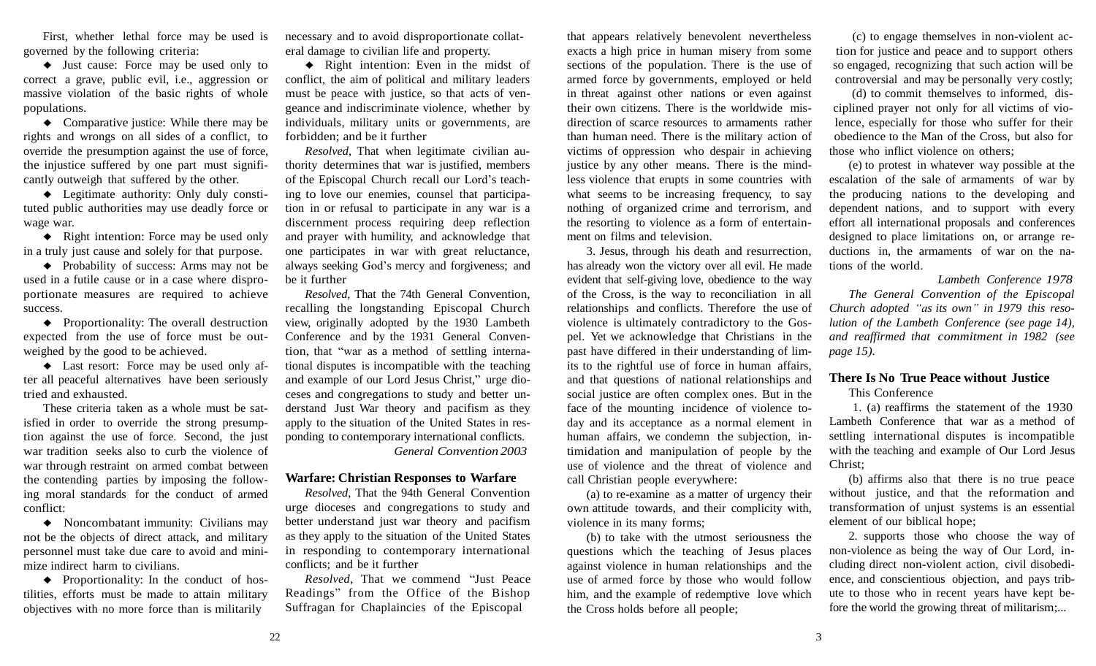First, whether lethal force may be used is governed by the following criteria:

♦ Just cause: Force may be used only to correct a grave, public evil, i.e., aggression or massive violation of the basic rights of whole populations.

♦ Comparative justice: While there may be rights and wrongs on all sides of a conflict, to override the presumption against the use of force, the injustice suffered by one part must significantly outweigh that suffered by the other.

♦ Legitimate authority: Only duly constituted public authorities may use deadly force or wage war.

♦ Right intention: Force may be used only in a truly just cause and solely for that purpose.

♦ Probability of success: Arms may not be used in a futile cause or in a case where disproportionate measures are required to achieve success.

♦ Proportionality: The overall destruction expected from the use of force must be outweighed by the good to be achieved.

♦ Last resort: Force may be used only after all peaceful alternatives have been seriously tried and exhausted.

These criteria taken as a whole must be satisfied in order to override the strong presumption against the use of force. Second, the just war tradition seeks also to curb the violence of war through restraint on armed combat between the contending parties by imposing the following moral standards for the conduct of armed conflict:

♦ Noncombatant immunity: Civilians may not be the objects of direct attack, and military personnel must take due care to avoid and minimize indirect harm to civilians.

♦ Proportionality: In the conduct of hostilities, efforts must be made to attain military objectives with no more force than is militarily

necessary and to avoid disproportionate collateral damage to civilian life and property.

♦ Right intention: Even in the midst of conflict, the aim of political and military leaders must be peace with justice, so that acts of vengeance and indiscriminate violence, whether by individuals, military units or governments, are forbidden; and be it further

*Resolved*, That when legitimate civilian authority determines that war is justified, members of the Episcopal Church recall our Lord's teaching to love our enemies, counsel that participation in or refusal to participate in any war is a discernment process requiring deep reflection and prayer with humility, and acknowledge that one participates in war with great reluctance, always seeking God's mercy and forgiveness; and be it further

*Resolved*, That the 74th General Convention, recalling the longstanding Episcopal Church view, originally adopted by the 1930 Lambeth Conference and by the 1931 General Convention, that "war as a method of settling international disputes is incompatible with the teaching and example of our Lord Jesus Christ," urge dioceses and congregations to study and better understand Just War theory and pacifism as they apply to the situation of the United States in responding to contemporary international conflicts. *General Convention 2003*

#### **Warfare: Christian Responses to Warfare**

*Resolved*, That the 94th General Convention urge dioceses and congregations to study and better understand just war theory and pacifism as they apply to the situation of the United States in responding to contemporary international conflicts; and be it further

*Resolved*, That we commend "Just Peace Readings" from the Office of the Bishop Suffragan for Chaplaincies of the Episcopal

that appears relatively benevolent nevertheless exacts a high price in human misery from some sections of the population. There is the use of armed force by governments, employed or held in threat against other nations or even against their own citizens. There is the worldwide misdirection of scarce resources to armaments rather than human need. There is the military action of victims of oppression who despair in achieving justice by any other means. There is the mindless violence that erupts in some countries with what seems to be increasing frequency, to say nothing of organized crime and terrorism, and the resorting to violence as a form of entertainment on films and television.

3. Jesus, through his death and resurrection, has already won the victory over all evil. He made evident that self-giving love, obedience to the way of the Cross, is the way to reconciliation in all relationships and conflicts. Therefore the use of violence is ultimately contradictory to the Gospel. Yet we acknowledge that Christians in the past have differed in their understanding of limits to the rightful use of force in human affairs, and that questions of national relationships and social justice are often complex ones. But in the face of the mounting incidence of violence today and its acceptance as a normal element in human affairs, we condemn the subjection, intimidation and manipulation of people by the use of violence and the threat of violence and call Christian people everywhere:

(a) to re-examine as a matter of urgency their own attitude towards, and their complicity with, violence in its many forms;

(b) to take with the utmost seriousness the questions which the teaching of Jesus places against violence in human relationships and the use of armed force by those who would follow him, and the example of redemptive love which the Cross holds before all people;

(c) to engage themselves in non-violent action for justice and peace and to support others so engaged, recognizing that such action will be controversial and may be personally very costly;

(d) to commit themselves to informed, disciplined prayer not only for all victims of violence, especially for those who suffer for their obedience to the Man of the Cross, but also for those who inflict violence on others;

(e) to protest in whatever way possible at the escalation of the sale of armaments of war by the producing nations to the developing and dependent nations, and to support with every effort all international proposals and conferences designed to place limitations on, or arrange reductions in, the armaments of war on the nations of the world.

*Lambeth Conference 1978 The General Convention of the Episcopal Church adopted "as its own" in 1979 this resolution of the Lambeth Conference (see page 14), and reaffirmed that commitment in 1982 (see page 15).*

#### **There Is No True Peace without Justice** This Conference

1. (a) reaffirms the statement of the 1930 Lambeth Conference that war as a method of settling international disputes is incompatible with the teaching and example of Our Lord Jesus Christ;

(b) affirms also that there is no true peace without justice, and that the reformation and transformation of unjust systems is an essential element of our biblical hope;

2. supports those who choose the way of non-violence as being the way of Our Lord, including direct non-violent action, civil disobedience, and conscientious objection, and pays tribute to those who in recent years have kept before the world the growing threat of militarism;...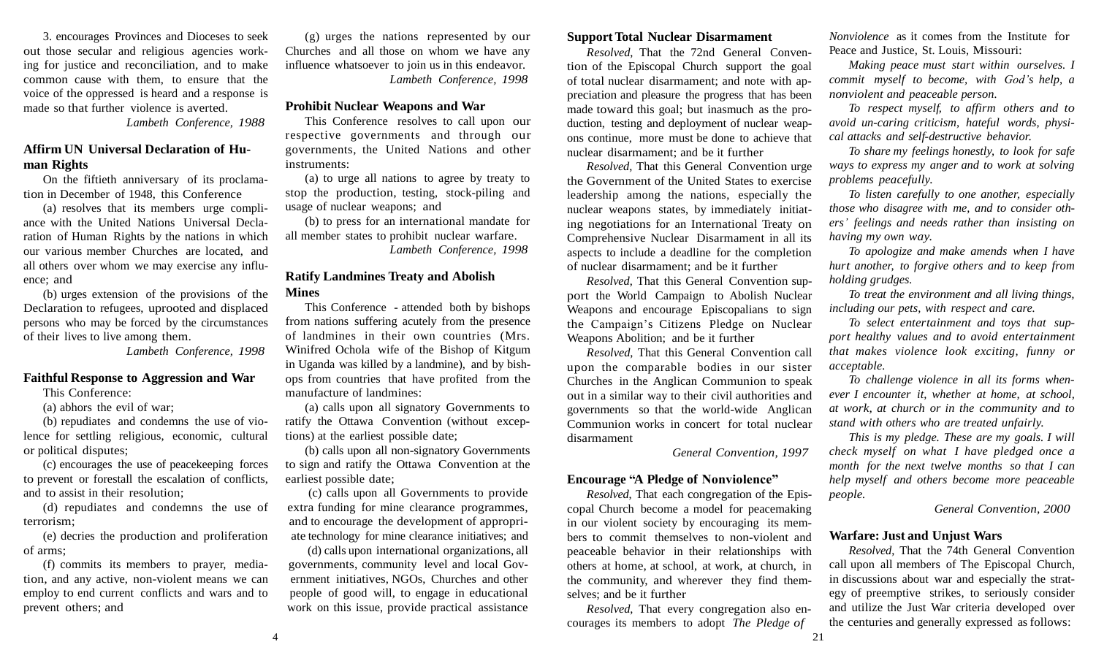3. encourages Provinces and Dioceses to seek out those secular and religious agencies working for justice and reconciliation, and to make common cause with them, to ensure that the voice of the oppressed is heard and a response is made so that further violence is averted.

*Lambeth Conference, 1988*

# **Affirm UN Universal Declaration of Human Rights**

On the fiftieth anniversary of its proclamation in December of 1948, this Conference

(a) resolves that its members urge compliance with the United Nations Universal Declaration of Human Rights by the nations in which our various member Churches are located, and all others over whom we may exercise any influence; and

(b) urges extension of the provisions of the Declaration to refugees, uprooted and displaced persons who may be forced by the circumstances of their lives to live among them.

*Lambeth Conference, 1998*

## **Faithful Response to Aggression and War**

This Conference:

(a) abhors the evil of war;

(b) repudiates and condemns the use of violence for settling religious, economic, cultural or political disputes;

(c) encourages the use of peacekeeping forces to prevent or forestall the escalation of conflicts, and to assist in their resolution;

(d) repudiates and condemns the use of terrorism;

(e) decries the production and proliferation of arms;

(f) commits its members to prayer, mediation, and any active, non-violent means we can employ to end current conflicts and wars and to prevent others; and

(g) urges the nations represented by our Churches and all those on whom we have any influence whatsoever to join us in this endeavor. *Lambeth Conference, 1998*

#### **Prohibit Nuclear Weapons and War**

This Conference resolves to call upon our respective governments and through our governments, the United Nations and other instruments:

(a) to urge all nations to agree by treaty to stop the production, testing, stock-piling and usage of nuclear weapons; and

(b) to press for an international mandate for all member states to prohibit nuclear warfare.

*Lambeth Conference, 1998*

#### **Ratify Landmines Treaty and Abolish Mines**

This Conference - attended both by bishops from nations suffering acutely from the presence of landmines in their own countries (Mrs. Winifred Ochola wife of the Bishop of Kitgum in Uganda was killed by a landmine), and by bishops from countries that have profited from the manufacture of landmines:

(a) calls upon all signatory Governments to ratify the Ottawa Convention (without exceptions) at the earliest possible date;

(b) calls upon all non-signatory Governments to sign and ratify the Ottawa Convention at the earliest possible date;

(c) calls upon all Governments to provide extra funding for mine clearance programmes, and to encourage the development of appropriate technology for mine clearance initiatives; and

(d) calls upon international organizations, all governments, community level and local Government initiatives, NGOs, Churches and other people of good will, to engage in educational work on this issue, provide practical assistance

#### **Support Total Nuclear Disarmament**

*Resolved*, That the 72nd General Convention of the Episcopal Church support the goal of total nuclear disarmament; and note with appreciation and pleasure the progress that has been made toward this goal; but inasmuch as the production, testing and deployment of nuclear weapons continue, more must be done to achieve that nuclear disarmament; and be it further

*Resolved*, That this General Convention urge the Government of the United States to exercise leadership among the nations, especially the nuclear weapons states, by immediately initiating negotiations for an International Treaty on Comprehensive Nuclear Disarmament in all its aspects to include a deadline for the completion of nuclear disarmament; and be it further

*Resolved*, That this General Convention support the World Campaign to Abolish Nuclear Weapons and encourage Episcopalians to sign the Campaign's Citizens Pledge on Nuclear Weapons Abolition; and be it further

*Resolved*, That this General Convention call upon the comparable bodies in our sister Churches in the Anglican Communion to speak out in a similar way to their civil authorities and governments so that the world-wide Anglican Communion works in concert for total nuclear disarmament

*General Convention, 1997*

#### **Encourage "A Pledge of Nonviolence"**

*Resolved*, That each congregation of the Episcopal Church become a model for peacemaking in our violent society by encouraging its members to commit themselves to non-violent and peaceable behavior in their relationships with others at home, at school, at work, at church, in the community, and wherever they find themselves; and be it further

*Resolved*, That every congregation also encourages its members to adopt *The Pledge of*

*Nonviolence* as it comes from the Institute for Peace and Justice, St. Louis, Missouri:

*Making peace must start within ourselves. I commit myself to become, with God's help, a nonviolent and peaceable person.*

*To respect myself, to affirm others and to avoid un-caring criticism, hateful words, physical attacks and self-destructive behavior.*

*To share my feelings honestly, to look for safe ways to express my anger and to work at solving problems peacefully.*

*To listen carefully to one another, especially those who disagree with me, and to consider others' feelings and needs rather than insisting on having my own way.*

*To apologize and make amends when I have hurt another, to forgive others and to keep from holding grudges.*

*To treat the environment and all living things, including our pets, with respect and care.*

*To select entertainment and toys that support healthy values and to avoid entertainment that makes violence look exciting, funny or acceptable.*

*To challenge violence in all its forms whenever I encounter it, whether at home, at school, at work, at church or in the community and to stand with others who are treated unfairly.*

*This is my pledge. These are my goals. I will check myself on what I have pledged once a month for the next twelve months so that I can help myself and others become more peaceable people.*

*General Convention, 2000*

#### **Warfare: Just and Unjust Wars**

*Resolved*, That the 74th General Convention call upon all members of The Episcopal Church, in discussions about war and especially the strategy of preemptive strikes, to seriously consider and utilize the Just War criteria developed over the centuries and generally expressed as follows: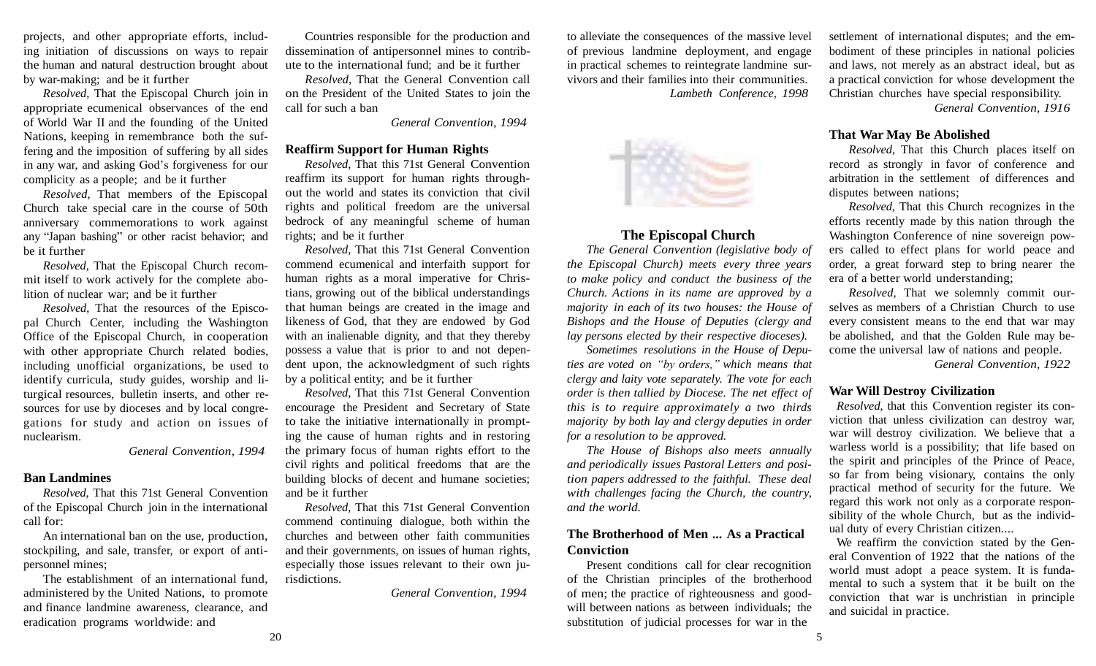projects, and other appropriate efforts, including initiation of discussions on ways to repair the human and natural destruction brought about by war-making; and be it further

*Resolved*, That the Episcopal Church join in appropriate ecumenical observances of the end of World War II and the founding of the United Nations, keeping in remembrance both the suffering and the imposition of suffering by all sides in any war, and asking God's forgiveness for our complicity as a people; and be it further

*Resolved*, That members of the Episcopal Church take special care in the course of 50th anniversary commemorations to work against any "Japan bashing" or other racist behavior; and be it further

*Resolved*, That the Episcopal Church recommit itself to work actively for the complete abolition of nuclear war; and be it further

*Resolved*, That the resources of the Episcopal Church Center, including the Washington Office of the Episcopal Church, in cooperation with other appropriate Church related bodies, including unofficial organizations, be used to identify curricula, study guides, worship and liturgical resources, bulletin inserts, and other resources for use by dioceses and by local congregations for study and action on issues of nuclearism.

*General Convention, 1994*

#### **Ban Landmines**

*Resolved*, That this 71st General Convention of the Episcopal Church join in the international call for:

An international ban on the use, production, stockpiling, and sale, transfer, or export of antipersonnel mines;

The establishment of an international fund, administered by the United Nations, to promote and finance landmine awareness, clearance, and eradication programs worldwide: and

Countries responsible for the production and dissemination of antipersonnel mines to contribute to the international fund; and be it further

*Resolved*, That the General Convention call on the President of the United States to join the call for such a ban

*General Convention, 1994*

#### **Reaffirm Support for Human Rights**

*Resolved*, That this 71st General Convention reaffirm its support for human rights throughout the world and states its conviction that civil rights and political freedom are the universal bedrock of any meaningful scheme of human rights; and be it further

*Resolved*, That this 71st General Convention commend ecumenical and interfaith support for human rights as a moral imperative for Christians, growing out of the biblical understandings that human beings are created in the image and likeness of God, that they are endowed by God with an inalienable dignity, and that they thereby possess a value that is prior to and not dependent upon, the acknowledgment of such rights by a political entity; and be it further

*Resolved*, That this 71st General Convention encourage the President and Secretary of State to take the initiative internationally in prompting the cause of human rights and in restoring the primary focus of human rights effort to the civil rights and political freedoms that are the building blocks of decent and humane societies; and be it further

*Resolved*, That this 71st General Convention commend continuing dialogue, both within the churches and between other faith communities and their governments, on issues of human rights, especially those issues relevant to their own jurisdictions.

*General Convention, 1994*

to alleviate the consequences of the massive level of previous landmine deployment, and engage in practical schemes to reintegrate landmine survivors and their families into their communities. *Lambeth Conference, 1998*



## **The Episcopal Church**

*The General Convention (legislative body of the Episcopal Church) meets every three years to make policy and conduct the business of the Church. Actions in its name are approved by a majority in each of its two houses: the House of Bishops and the House of Deputies (clergy and lay persons elected by their respective dioceses).*

*Sometimes resolutions in the House of Deputies are voted on "by orders," which means that clergy and laity vote separately. The vote for each order is then tallied by Diocese. The net effect of this is to require approximately a two thirds majority by both lay and clergy deputies in order for a resolution to be approved.*

*The House of Bishops also meets annually and periodically issues Pastoral Letters and position papers addressed to the faithful. These deal with challenges facing the Church, the country, and the world.*

## **The Brotherhood of Men ... As a Practical Conviction**

Present conditions call for clear recognition of the Christian principles of the brotherhood of men; the practice of righteousness and goodwill between nations as between individuals; the substitution of judicial processes for war in the

settlement of international disputes; and the embodiment of these principles in national policies and laws, not merely as an abstract ideal, but as a practical conviction for whose development the Christian churches have special responsibility.

*General Convention, 1916*

#### **That War May Be Abolished**

*Resolved,* That this Church places itself on record as strongly in favor of conference and arbitration in the settlement of differences and disputes between nations;

*Resolved,* That this Church recognizes in the efforts recently made by this nation through the Washington Conference of nine sovereign powers called to effect plans for world peace and order, a great forward step to bring nearer the era of a better world understanding;

*Resolved,* That we solemnly commit ourselves as members of a Christian Church to use every consistent means to the end that war may be abolished, and that the Golden Rule may become the universal law of nations and people.

*General Convention, 1922*

## **War Will Destroy Civilization**

*Resolved*, that this Convention register its conviction that unless civilization can destroy war, war will destroy civilization. We believe that a warless world is a possibility; that life based on the spirit and principles of the Prince of Peace, so far from being visionary, contains the only practical method of security for the future. We regard this work not only as a corporate responsibility of the whole Church, but as the individual duty of every Christian citizen....

We reaffirm the conviction stated by the General Convention of 1922 that the nations of the world must adopt a peace system. It is fundamental to such a system that it be built on the conviction that war is unchristian in principle and suicidal in practice.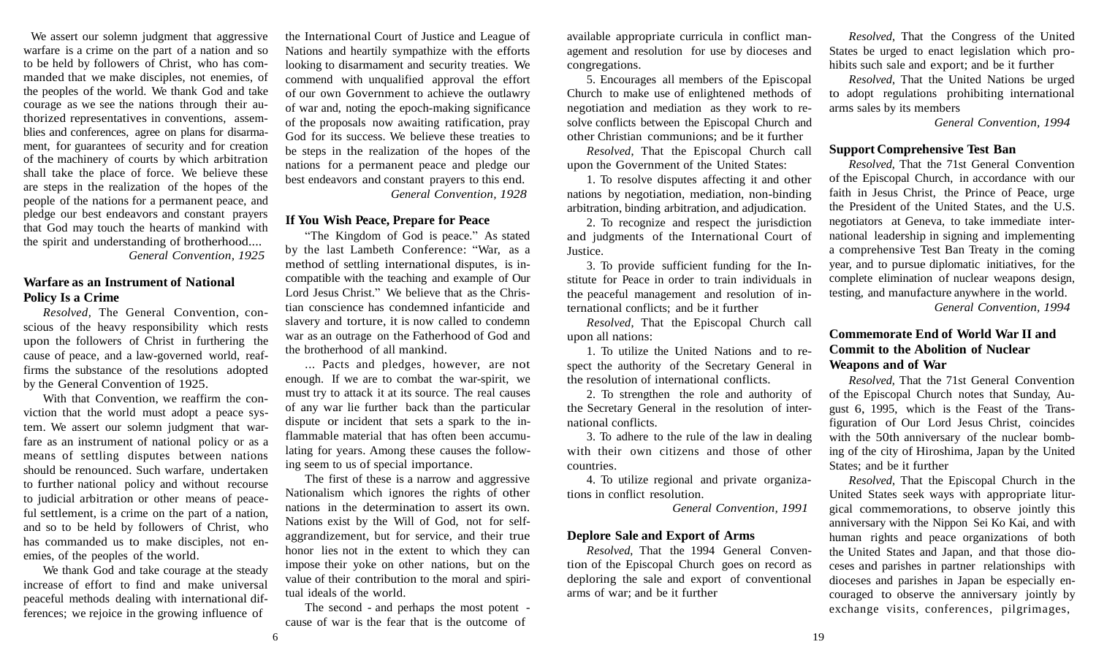We assert our solemn judgment that aggressive warfare is a crime on the part of a nation and so to be held by followers of Christ, who has commanded that we make disciples, not enemies, of the peoples of the world. We thank God and take courage as we see the nations through their authorized representatives in conventions, assemblies and conferences, agree on plans for disarmament, for guarantees of security and for creation of the machinery of courts by which arbitration shall take the place of force. We believe these are steps in the realization of the hopes of the people of the nations for a permanent peace, and pledge our best endeavors and constant prayers that God may touch the hearts of mankind with the spirit and understanding of brotherhood....

*General Convention, 1925*

## **Warfare as an Instrument of National Policy Is a Crime**

*Resolved,* The General Convention, conscious of the heavy responsibility which rests upon the followers of Christ in furthering the cause of peace, and a law-governed world, reaffirms the substance of the resolutions adopted by the General Convention of 1925.

With that Convention, we reaffirm the conviction that the world must adopt a peace system. We assert our solemn judgment that warfare as an instrument of national policy or as a means of settling disputes between nations should be renounced. Such warfare, undertaken to further national policy and without recourse to judicial arbitration or other means of peaceful settlement, is a crime on the part of a nation, and so to be held by followers of Christ, who has commanded us to make disciples, not enemies, of the peoples of the world.

We thank God and take courage at the steady increase of effort to find and make universal peaceful methods dealing with international differences; we rejoice in the growing influence of

the International Court of Justice and League of Nations and heartily sympathize with the efforts looking to disarmament and security treaties. We commend with unqualified approval the effort of our own Government to achieve the outlawry of war and, noting the epoch-making significance of the proposals now awaiting ratification, pray God for its success. We believe these treaties to be steps in the realization of the hopes of the nations for a permanent peace and pledge our best endeavors and constant prayers to this end. *General Convention, 1928*

**If You Wish Peace, Prepare for Peace**

"The Kingdom of God is peace." As stated by the last Lambeth Conference: "War, as a method of settling international disputes, is incompatible with the teaching and example of Our Lord Jesus Christ." We believe that as the Christian conscience has condemned infanticide and slavery and torture, it is now called to condemn war as an outrage on the Fatherhood of God and the brotherhood of all mankind.

... Pacts and pledges, however, are not enough. If we are to combat the war-spirit, we must try to attack it at its source. The real causes of any war lie further back than the particular dispute or incident that sets a spark to the inflammable material that has often been accumulating for years. Among these causes the following seem to us of special importance.

The first of these is a narrow and aggressive Nationalism which ignores the rights of other nations in the determination to assert its own. Nations exist by the Will of God, not for selfaggrandizement, but for service, and their true honor lies not in the extent to which they can impose their yoke on other nations, but on the value of their contribution to the moral and spiritual ideals of the world.

The second - and perhaps the most potent cause of war is the fear that is the outcome of

available appropriate curricula in conflict management and resolution for use by dioceses and congregations.

5. Encourages all members of the Episcopal Church to make use of enlightened methods of negotiation and mediation as they work to resolve conflicts between the Episcopal Church and other Christian communions; and be it further

*Resolved*, That the Episcopal Church call upon the Government of the United States:

1. To resolve disputes affecting it and other nations by negotiation, mediation, non-binding arbitration, binding arbitration, and adjudication.

2. To recognize and respect the jurisdiction and judgments of the International Court of Justice.

3. To provide sufficient funding for the Institute for Peace in order to train individuals in the peaceful management and resolution of international conflicts; and be it further

*Resolved*, That the Episcopal Church call upon all nations:

1. To utilize the United Nations and to respect the authority of the Secretary General in the resolution of international conflicts.

2. To strengthen the role and authority of the Secretary General in the resolution of international conflicts.

3. To adhere to the rule of the law in dealing with their own citizens and those of other countries.

4. To utilize regional and private organizations in conflict resolution.

*General Convention, 1991*

## **Deplore Sale and Export of Arms**

*Resolved*, That the 1994 General Convention of the Episcopal Church goes on record as deploring the sale and export of conventional arms of war; and be it further

*Resolved*, That the Congress of the United States be urged to enact legislation which prohibits such sale and export; and be it further

*Resolved*, That the United Nations be urged to adopt regulations prohibiting international arms sales by its members

*General Convention, 1994*

## **Support Comprehensive Test Ban**

*Resolved*, That the 71st General Convention of the Episcopal Church, in accordance with our faith in Jesus Christ, the Prince of Peace, urge the President of the United States, and the U.S. negotiators at Geneva, to take immediate international leadership in signing and implementing a comprehensive Test Ban Treaty in the coming year, and to pursue diplomatic initiatives, for the complete elimination of nuclear weapons design, testing, and manufacture anywhere in the world. *General Convention, 1994*

# **Commemorate End of World War II and Commit to the Abolition of Nuclear Weapons and of War**

*Resolved*, That the 71st General Convention of the Episcopal Church notes that Sunday, August 6, 1995, which is the Feast of the Transfiguration of Our Lord Jesus Christ, coincides with the 50th anniversary of the nuclear bombing of the city of Hiroshima, Japan by the United States; and be it further

*Resolved*, That the Episcopal Church in the United States seek ways with appropriate liturgical commemorations, to observe jointly this anniversary with the Nippon Sei Ko Kai, and with human rights and peace organizations of both the United States and Japan, and that those dioceses and parishes in partner relationships with dioceses and parishes in Japan be especially encouraged to observe the anniversary jointly by exchange visits, conferences, pilgrimages,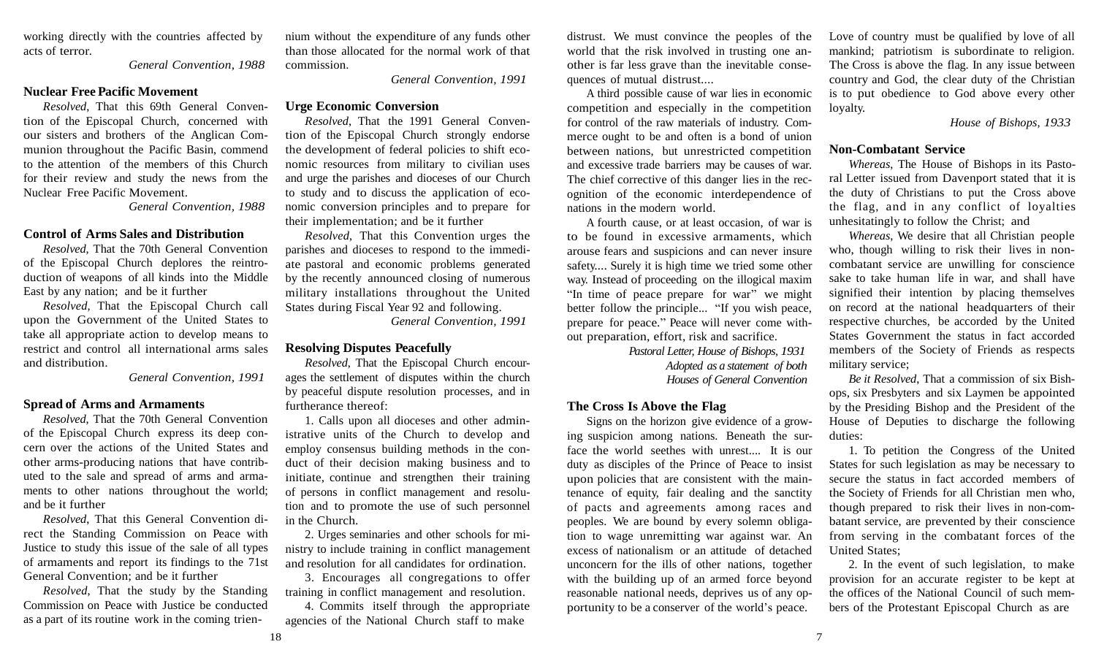working directly with the countries affected by acts of terror.

*General Convention, 1988*

#### **Nuclear Free Pacific Movement**

*Resolved*, That this 69th General Convention of the Episcopal Church, concerned with our sisters and brothers of the Anglican Communion throughout the Pacific Basin, commend to the attention of the members of this Church for their review and study the news from the Nuclear Free Pacific Movement.

*General Convention, 1988*

#### **Control of Arms Sales and Distribution**

*Resolved*, That the 70th General Convention of the Episcopal Church deplores the reintroduction of weapons of all kinds into the Middle East by any nation; and be it further

*Resolved*, That the Episcopal Church call upon the Government of the United States to take all appropriate action to develop means to restrict and control all international arms sales and distribution.

*General Convention, 1991*

#### **Spread of Arms and Armaments**

*Resolved*, That the 70th General Convention of the Episcopal Church express its deep concern over the actions of the United States and other arms-producing nations that have contributed to the sale and spread of arms and armaments to other nations throughout the world; and be it further

*Resolved*, That this General Convention direct the Standing Commission on Peace with Justice to study this issue of the sale of all types of armaments and report its findings to the 71st General Convention; and be it further

*Resolved*, That the study by the Standing Commission on Peace with Justice be conducted as a part of its routine work in the coming triennium without the expenditure of any funds other than those allocated for the normal work of that commission.

*General Convention, 1991*

## **Urge Economic Conversion**

*Resolved*, That the 1991 General Convention of the Episcopal Church strongly endorse the development of federal policies to shift economic resources from military to civilian uses and urge the parishes and dioceses of our Church to study and to discuss the application of economic conversion principles and to prepare for their implementation; and be it further

*Resolved*, That this Convention urges the parishes and dioceses to respond to the immediate pastoral and economic problems generated by the recently announced closing of numerous military installations throughout the United States during Fiscal Year 92 and following.

*General Convention, 1991*

#### **Resolving Disputes Peacefully**

*Resolved*, That the Episcopal Church encourages the settlement of disputes within the church by peaceful dispute resolution processes, and in furtherance thereof:

1. Calls upon all dioceses and other administrative units of the Church to develop and employ consensus building methods in the conduct of their decision making business and to initiate, continue and strengthen their training of persons in conflict management and resolution and to promote the use of such personnel in the Church.

2. Urges seminaries and other schools for ministry to include training in conflict management and resolution for all candidates for ordination.

3. Encourages all congregations to offer training in conflict management and resolution.

4. Commits itself through the appropriate agencies of the National Church staff to make

distrust. We must convince the peoples of the world that the risk involved in trusting one another is far less grave than the inevitable consequences of mutual distrust....

A third possible cause of war lies in economic competition and especially in the competition for control of the raw materials of industry. Commerce ought to be and often is a bond of union between nations, but unrestricted competition and excessive trade barriers may be causes of war. The chief corrective of this danger lies in the recognition of the economic interdependence of nations in the modern world.

A fourth cause, or at least occasion, of war is to be found in excessive armaments, which arouse fears and suspicions and can never insure safety.... Surely it is high time we tried some other way. Instead of proceeding on the illogical maxim "In time of peace prepare for war" we might better follow the principle... "If you wish peace, prepare for peace." Peace will never come without preparation, effort, risk and sacrifice.

> *Pastoral Letter, House of Bishops, 1931 Adopted as a statement of both Houses of General Convention*

### **The Cross Is Above the Flag**

Signs on the horizon give evidence of a growing suspicion among nations. Beneath the surface the world seethes with unrest.... It is our duty as disciples of the Prince of Peace to insist upon policies that are consistent with the maintenance of equity, fair dealing and the sanctity of pacts and agreements among races and peoples. We are bound by every solemn obligation to wage unremitting war against war. An excess of nationalism or an attitude of detached unconcern for the ills of other nations, together with the building up of an armed force beyond reasonable national needs, deprives us of any opportunity to be a conserver of the world's peace.

Love of country must be qualified by love of all mankind; patriotism is subordinate to religion. The Cross is above the flag. In any issue between country and God, the clear duty of the Christian is to put obedience to God above every other loyalty.

*House of Bishops, 1933*

#### **Non-Combatant Service**

*Whereas*, The House of Bishops in its Pastoral Letter issued from Davenport stated that it is the duty of Christians to put the Cross above the flag, and in any conflict of loyalties unhesitatingly to follow the Christ; and

*Whereas*, We desire that all Christian people who, though willing to risk their lives in noncombatant service are unwilling for conscience sake to take human life in war, and shall have signified their intention by placing themselves on record at the national headquarters of their respective churches, be accorded by the United States Government the status in fact accorded members of the Society of Friends as respects military service;

*Be it Resolved*, That a commission of six Bishops, six Presbyters and six Laymen be appointed by the Presiding Bishop and the President of the House of Deputies to discharge the following duties:

1. To petition the Congress of the United States for such legislation as may be necessary to secure the status in fact accorded members of the Society of Friends for all Christian men who, though prepared to risk their lives in non-combatant service, are prevented by their conscience from serving in the combatant forces of the United States;

2. In the event of such legislation, to make provision for an accurate register to be kept at the offices of the National Council of such members of the Protestant Episcopal Church as are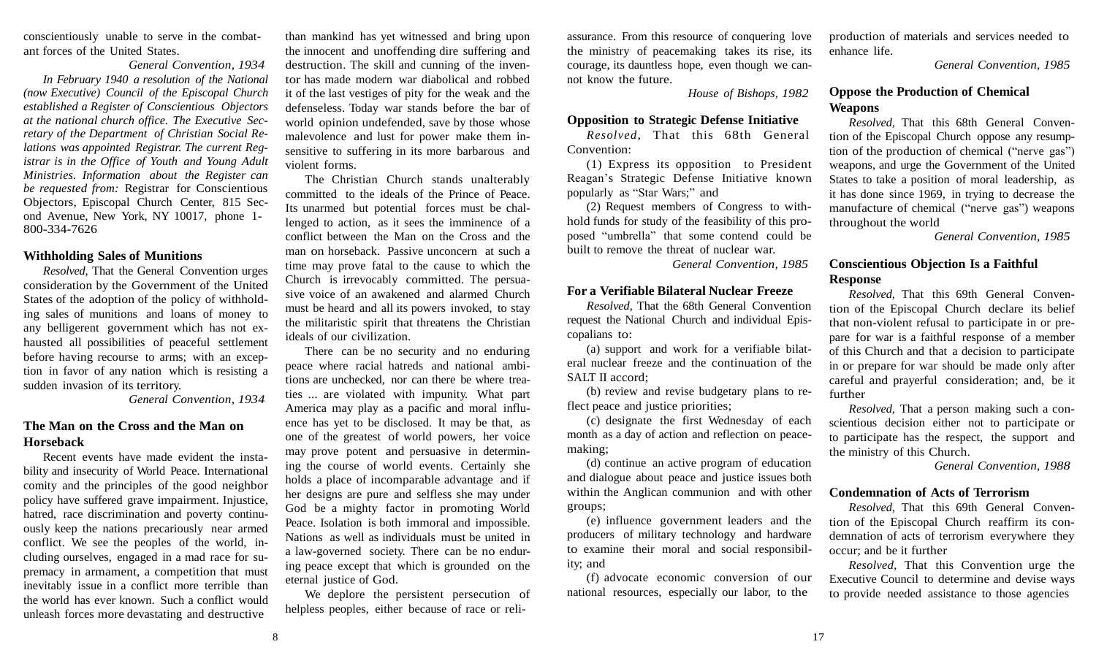conscientiously unable to serve in the combatant forces of the United States.

*General Convention, 1934 In February 1940 a resolution of the National (now Executive) Council of the Episcopal Church established a Register of Conscientious Objectors at the national church office. The Executive Secretary of the Department of Christian Social Relations was appointed Registrar. The current Registrar is in the Office of Youth and Young Adult Ministries. Information about the Register can be requested from:* Registrar for Conscientious Objectors, Episcopal Church Center, 815 Second Avenue, New York, NY 10017, phone 1- 800-334-7626

#### **Withholding Sales of Munitions**

*Resolved*, That the General Convention urges consideration by the Government of the United States of the adoption of the policy of withholding sales of munitions and loans of money to any belligerent government which has not exhausted all possibilities of peaceful settlement before having recourse to arms; with an exception in favor of any nation which is resisting a sudden invasion of its territory.

*General Convention, 1934*

## **The Man on the Cross and the Man on Horseback**

Recent events have made evident the instability and insecurity of World Peace. International comity and the principles of the good neighbor policy have suffered grave impairment. Injustice, hatred, race discrimination and poverty continuously keep the nations precariously near armed conflict. We see the peoples of the world, including ourselves, engaged in a mad race for supremacy in armament, a competition that must inevitably issue in a conflict more terrible than the world has ever known. Such a conflict would unleash forces more devastating and destructive

than mankind has yet witnessed and bring upon the innocent and unoffending dire suffering and destruction. The skill and cunning of the inventor has made modern war diabolical and robbed it of the last vestiges of pity for the weak and the defenseless. Today war stands before the bar of world opinion undefended, save by those whose malevolence and lust for power make them insensitive to suffering in its more barbarous and violent forms.

The Christian Church stands unalterably committed to the ideals of the Prince of Peace. Its unarmed but potential forces must be challenged to action, as it sees the imminence of a conflict between the Man on the Cross and the man on horseback. Passive unconcern at such a time may prove fatal to the cause to which the Church is irrevocably committed. The persuasive voice of an awakened and alarmed Church must be heard and all its powers invoked, to stay the militaristic spirit that threatens the Christian ideals of our civilization.

There can be no security and no enduring peace where racial hatreds and national ambitions are unchecked, nor can there be where treaties ... are violated with impunity. What part America may play as a pacific and moral influence has yet to be disclosed. It may be that, as one of the greatest of world powers, her voice may prove potent and persuasive in determining the course of world events. Certainly she holds a place of incomparable advantage and if her designs are pure and selfless she may under God be a mighty factor in promoting World Peace. Isolation is both immoral and impossible. Nations as well as individuals must be united in a law-governed society. There can be no enduring peace except that which is grounded on the eternal justice of God.

We deplore the persistent persecution of helpless peoples, either because of race or reli-

assurance. From this resource of conquering love the ministry of peacemaking takes its rise, its courage, its dauntless hope, even though we cannot know the future.

*House of Bishops, 1982*

## **Opposition to Strategic Defense Initiative**

*Resolved*, That this 68th General Convention:

(1) Express its opposition to President Reagan's Strategic Defense Initiative known popularly as "Star Wars;" and

(2) Request members of Congress to withhold funds for study of the feasibility of this proposed "umbrella" that some contend could be built to remove the threat of nuclear war.

*General Convention, 1985*

#### **For a Verifiable Bilateral Nuclear Freeze**

*Resolved*, That the 68th General Convention request the National Church and individual Episcopalians to:

(a) support and work for a verifiable bilateral nuclear freeze and the continuation of the SALT II accord;

(b) review and revise budgetary plans to reflect peace and justice priorities;

(c) designate the first Wednesday of each month as a day of action and reflection on peacemaking;

(d) continue an active program of education and dialogue about peace and justice issues both within the Anglican communion and with other groups;

(e) influence government leaders and the producers of military technology and hardware to examine their moral and social responsibility; and

(f) advocate economic conversion of our national resources, especially our labor, to the

production of materials and services needed to enhance life.

*General Convention, 1985*

# **Oppose the Production of Chemical Weapons**

*Resolved*, That this 68th General Convention of the Episcopal Church oppose any resumption of the production of chemical ("nerve gas") weapons, and urge the Government of the United States to take a position of moral leadership, as it has done since 1969, in trying to decrease the manufacture of chemical ("nerve gas") weapons throughout the world

*General Convention, 1985*

# **Conscientious Objection Is a Faithful Response**

*Resolved*, That this 69th General Convention of the Episcopal Church declare its belief that non-violent refusal to participate in or prepare for war is a faithful response of a member of this Church and that a decision to participate in or prepare for war should be made only after careful and prayerful consideration; and, be it further

*Resolved*, That a person making such a conscientious decision either not to participate or to participate has the respect, the support and the ministry of this Church.

*General Convention, 1988*

#### **Condemnation of Acts of Terrorism**

*Resolved*, That this 69th General Convention of the Episcopal Church reaffirm its condemnation of acts of terrorism everywhere they occur; and be it further

*Resolved*, That this Convention urge the Executive Council to determine and devise ways to provide needed assistance to those agencies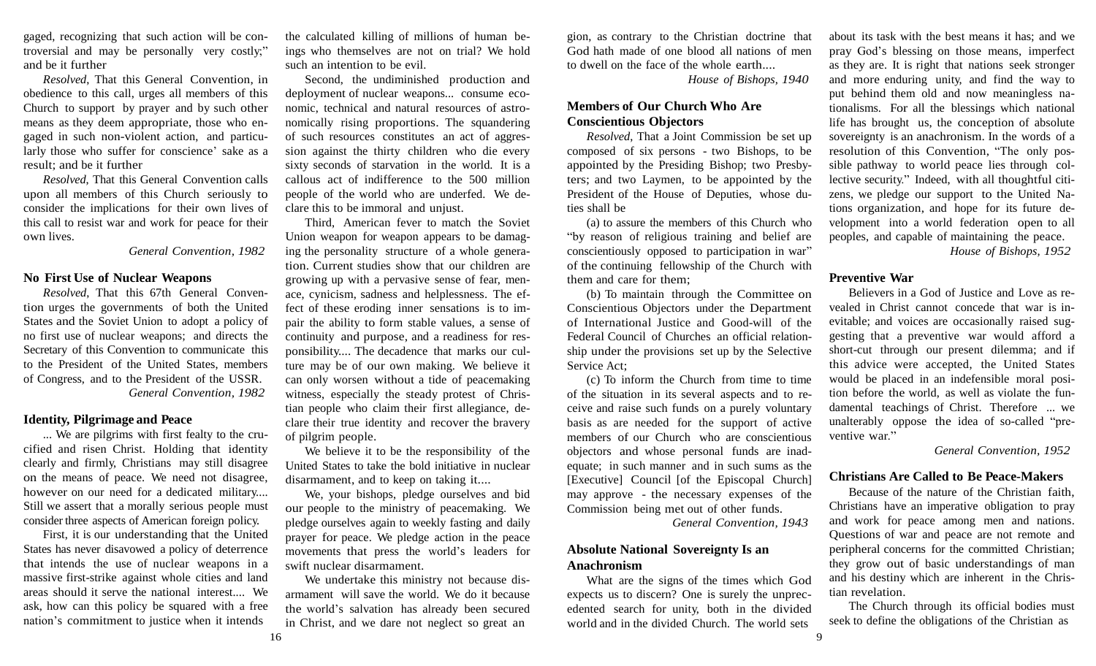gaged, recognizing that such action will be controversial and may be personally very costly;" and be it further

*Resolved*, That this General Convention, in obedience to this call, urges all members of this Church to support by prayer and by such other means as they deem appropriate, those who engaged in such non-violent action, and particularly those who suffer for conscience' sake as a result; and be it further

*Resolved*, That this General Convention calls upon all members of this Church seriously to consider the implications for their own lives of this call to resist war and work for peace for their own lives.

*General Convention, 1982*

## **No First Use of Nuclear Weapons**

*Resolved*, That this 67th General Convention urges the governments of both the United States and the Soviet Union to adopt a policy of no first use of nuclear weapons; and directs the Secretary of this Convention to communicate this to the President of the United States, members of Congress, and to the President of the USSR. *General Convention, 1982*

## **Identity, Pilgrimage and Peace**

... We are pilgrims with first fealty to the crucified and risen Christ. Holding that identity clearly and firmly, Christians may still disagree on the means of peace. We need not disagree, however on our need for a dedicated military.... Still we assert that a morally serious people must consider three aspects of American foreign policy.

First, it is our understanding that the United States has never disavowed a policy of deterrence that intends the use of nuclear weapons in a massive first-strike against whole cities and land areas should it serve the national interest.... We ask, how can this policy be squared with a free nation's commitment to justice when it intends

the calculated killing of millions of human beings who themselves are not on trial? We hold such an intention to be evil.

Second, the undiminished production and deployment of nuclear weapons... consume economic, technical and natural resources of astronomically rising proportions. The squandering of such resources constitutes an act of aggression against the thirty children who die every sixty seconds of starvation in the world. It is a callous act of indifference to the 500 million people of the world who are underfed. We declare this to be immoral and unjust.

Third, American fever to match the Soviet Union weapon for weapon appears to be damaging the personality structure of a whole generation. Current studies show that our children are growing up with a pervasive sense of fear, menace, cynicism, sadness and helplessness. The effect of these eroding inner sensations is to impair the ability to form stable values, a sense of continuity and purpose, and a readiness for responsibility.... The decadence that marks our culture may be of our own making. We believe it can only worsen without a tide of peacemaking witness, especially the steady protest of Christian people who claim their first allegiance, declare their true identity and recover the bravery of pilgrim people.

We believe it to be the responsibility of the United States to take the bold initiative in nuclear disarmament, and to keep on taking it....

We, your bishops, pledge ourselves and bid our people to the ministry of peacemaking. We pledge ourselves again to weekly fasting and daily prayer for peace. We pledge action in the peace movements that press the world's leaders for swift nuclear disarmament.

We undertake this ministry not because disarmament will save the world. We do it because the world's salvation has already been secured in Christ, and we dare not neglect so great an

gion, as contrary to the Christian doctrine that God hath made of one blood all nations of men to dwell on the face of the whole earth....

*House of Bishops, 1940*

# **Members of Our Church Who Are Conscientious Objectors**

*Resolved*, That a Joint Commission be set up composed of six persons - two Bishops, to be appointed by the Presiding Bishop; two Presbyters; and two Laymen, to be appointed by the President of the House of Deputies, whose duties shall be

(a) to assure the members of this Church who "by reason of religious training and belief are conscientiously opposed to participation in war" of the continuing fellowship of the Church with them and care for them;

(b) To maintain through the Committee on Conscientious Objectors under the Department of International Justice and Good-will of the Federal Council of Churches an official relationship under the provisions set up by the Selective Service Act;

(c) To inform the Church from time to time of the situation in its several aspects and to receive and raise such funds on a purely voluntary basis as are needed for the support of active members of our Church who are conscientious objectors and whose personal funds are inadequate; in such manner and in such sums as the [Executive] Council [of the Episcopal Church] may approve - the necessary expenses of the Commission being met out of other funds.

*General Convention, 1943*

# **Absolute National Sovereignty Is an Anachronism**

What are the signs of the times which God expects us to discern? One is surely the unprecedented search for unity, both in the divided world and in the divided Church. The world sets

about its task with the best means it has; and we pray God's blessing on those means, imperfect as they are. It is right that nations seek stronger and more enduring unity, and find the way to put behind them old and now meaningless nationalisms. For all the blessings which national life has brought us, the conception of absolute sovereignty is an anachronism. In the words of a resolution of this Convention, "The only possible pathway to world peace lies through collective security." Indeed, with all thoughtful citizens, we pledge our support to the United Nations organization, and hope for its future development into a world federation open to all peoples, and capable of maintaining the peace.

*House of Bishops, 1952*

#### **Preventive War**

Believers in a God of Justice and Love as revealed in Christ cannot concede that war is inevitable; and voices are occasionally raised suggesting that a preventive war would afford a short-cut through our present dilemma; and if this advice were accepted, the United States would be placed in an indefensible moral position before the world, as well as violate the fundamental teachings of Christ. Therefore ... we unalterably oppose the idea of so-called "preventive war."

*General Convention, 1952*

### **Christians Are Called to Be Peace-Makers**

Because of the nature of the Christian faith, Christians have an imperative obligation to pray and work for peace among men and nations. Questions of war and peace are not remote and peripheral concerns for the committed Christian; they grow out of basic understandings of man and his destiny which are inherent in the Christian revelation.

The Church through its official bodies must seek to define the obligations of the Christian as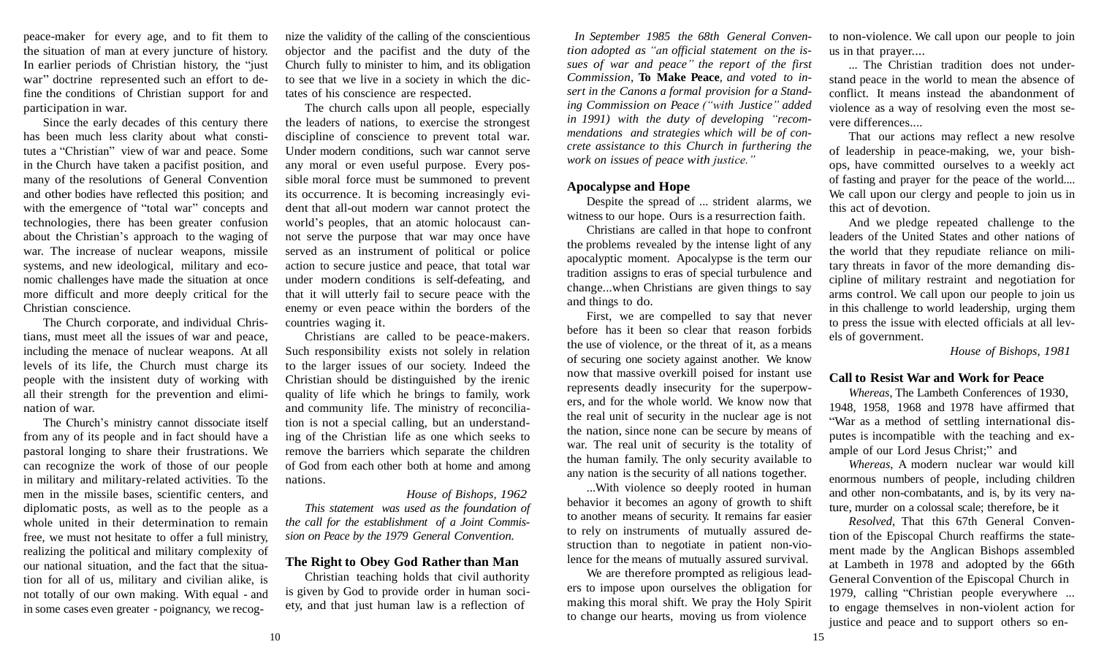peace-maker for every age, and to fit them to the situation of man at every juncture of history. In earlier periods of Christian history, the "just war" doctrine represented such an effort to define the conditions of Christian support for and participation in war.

Since the early decades of this century there has been much less clarity about what constitutes a "Christian" view of war and peace. Some in the Church have taken a pacifist position, and many of the resolutions of General Convention and other bodies have reflected this position; and with the emergence of "total war" concepts and technologies, there has been greater confusion about the Christian's approach to the waging of war. The increase of nuclear weapons, missile systems, and new ideological, military and economic challenges have made the situation at once more difficult and more deeply critical for the Christian conscience.

The Church corporate, and individual Christians, must meet all the issues of war and peace, including the menace of nuclear weapons. At all levels of its life, the Church must charge its people with the insistent duty of working with all their strength for the prevention and elimination of war.

The Church's ministry cannot dissociate itself from any of its people and in fact should have a pastoral longing to share their frustrations. We can recognize the work of those of our people in military and military-related activities. To the men in the missile bases, scientific centers, and diplomatic posts, as well as to the people as a whole united in their determination to remain free, we must not hesitate to offer a full ministry, realizing the political and military complexity of our national situation, and the fact that the situation for all of us, military and civilian alike, is not totally of our own making. With equal - and in some cases even greater - poignancy, we recognize the validity of the calling of the conscientious objector and the pacifist and the duty of the Church fully to minister to him, and its obligation to see that we live in a society in which the dictates of his conscience are respected.

The church calls upon all people, especially the leaders of nations, to exercise the strongest discipline of conscience to prevent total war. Under modern conditions, such war cannot serve any moral or even useful purpose. Every possible moral force must be summoned to prevent its occurrence. It is becoming increasingly evident that all-out modern war cannot protect the world's peoples, that an atomic holocaust cannot serve the purpose that war may once have served as an instrument of political or police action to secure justice and peace, that total war under modern conditions is self-defeating, and that it will utterly fail to secure peace with the enemy or even peace within the borders of the countries waging it.

Christians are called to be peace-makers. Such responsibility exists not solely in relation to the larger issues of our society. Indeed the Christian should be distinguished by the irenic quality of life which he brings to family, work and community life. The ministry of reconciliation is not a special calling, but an understanding of the Christian life as one which seeks to remove the barriers which separate the children of God from each other both at home and among nations.

#### *House of Bishops, 1962*

*This statement was used as the foundation of the call for the establishment of a Joint Commission on Peace by the 1979 General Convention.*

#### **The Right to Obey God Rather than Man**

Christian teaching holds that civil authority is given by God to provide order in human society, and that just human law is a reflection of

*In September 1985 the 68th General Convention adopted as "an official statement on the issues of war and peace" the report of the first Commission,* **To Make Peace***, and voted to insert in the Canons a formal provision for a Standing Commission on Peace ("with Justice" added in 1991) with the duty of developing "recommendations and strategies which will be of concrete assistance to this Church in furthering the work on issues of peace with justice."*

#### **Apocalypse and Hope**

Despite the spread of ... strident alarms, we witness to our hope. Ours is a resurrection faith.

Christians are called in that hope to confront the problems revealed by the intense light of any apocalyptic moment. Apocalypse is the term our tradition assigns to eras of special turbulence and change...when Christians are given things to say and things to do.

First, we are compelled to say that never before has it been so clear that reason forbids the use of violence, or the threat of it, as a means of securing one society against another. We know now that massive overkill poised for instant use represents deadly insecurity for the superpowers, and for the whole world. We know now that the real unit of security in the nuclear age is not the nation, since none can be secure by means of war. The real unit of security is the totality of the human family. The only security available to any nation is the security of all nations together.

...With violence so deeply rooted in human behavior it becomes an agony of growth to shift to another means of security. It remains far easier to rely on instruments of mutually assured destruction than to negotiate in patient non-violence for the means of mutually assured survival.

We are therefore prompted as religious leaders to impose upon ourselves the obligation for making this moral shift. We pray the Holy Spirit to change our hearts, moving us from violence

to non-violence. We call upon our people to join us in that prayer....

... The Christian tradition does not understand peace in the world to mean the absence of conflict. It means instead the abandonment of violence as a way of resolving even the most severe differences....

That our actions may reflect a new resolve of leadership in peace-making, we, your bishops, have committed ourselves to a weekly act of fasting and prayer for the peace of the world.... We call upon our clergy and people to join us in this act of devotion.

And we pledge repeated challenge to the leaders of the United States and other nations of the world that they repudiate reliance on military threats in favor of the more demanding discipline of military restraint and negotiation for arms control. We call upon our people to join us in this challenge to world leadership, urging them to press the issue with elected officials at all levels of government.

*House of Bishops, 1981*

#### **Call to Resist War and Work for Peace**

*Whereas*, The Lambeth Conferences of 1930, 1948, 1958, 1968 and 1978 have affirmed that "War as a method of settling international disputes is incompatible with the teaching and example of our Lord Jesus Christ;" and

*Whereas*, A modern nuclear war would kill enormous numbers of people, including children and other non-combatants, and is, by its very nature, murder on a colossal scale; therefore, be it

*Resolved*, That this 67th General Convention of the Episcopal Church reaffirms the statement made by the Anglican Bishops assembled at Lambeth in 1978 and adopted by the 66th General Convention of the Episcopal Church in 1979, calling "Christian people everywhere ... to engage themselves in non-violent action for justice and peace and to support others so en-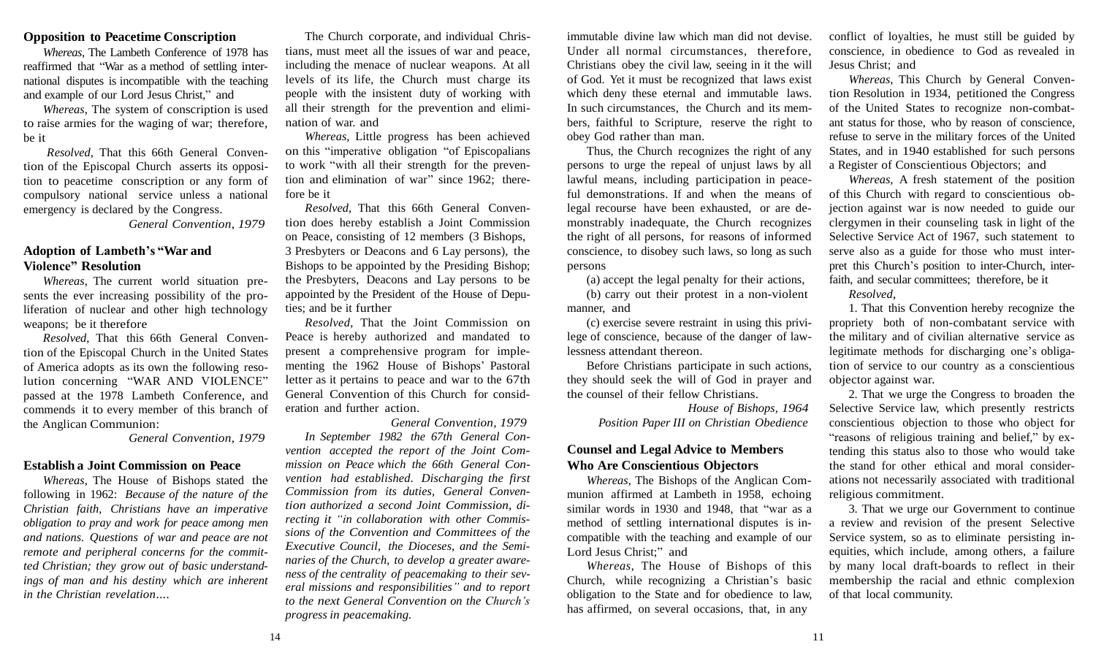#### **Opposition to Peacetime Conscription**

*Whereas*, The Lambeth Conference of 1978 has reaffirmed that "War as a method of settling international disputes is incompatible with the teaching and example of our Lord Jesus Christ," and

*Whereas*, The system of conscription is used to raise armies for the waging of war; therefore, be it

*Resolved*, That this 66th General Convention of the Episcopal Church asserts its opposition to peacetime conscription or any form of compulsory national service unless a national emergency is declared by the Congress.

*General Convention, 1979*

## **Adoption of Lambeth's "War and Violence" Resolution**

*Whereas*, The current world situation presents the ever increasing possibility of the proliferation of nuclear and other high technology weapons; be it therefore

*Resolved*, That this 66th General Convention of the Episcopal Church in the United States of America adopts as its own the following resolution concerning "WAR AND VIOLENCE" passed at the 1978 Lambeth Conference, and commends it to every member of this branch of the Anglican Communion:

*General Convention, 1979*

#### **Establish a Joint Commission on Peace**

*Whereas*, The House of Bishops stated the following in 1962: *Because of the nature of the Christian faith, Christians have an imperative obligation to pray and work for peace among men and nations. Questions of war and peace are not remote and peripheral concerns for the committed Christian; they grow out of basic understandings of man and his destiny which are inherent in the Christian revelation*....

The Church corporate, and individual Christians, must meet all the issues of war and peace, including the menace of nuclear weapons. At all levels of its life, the Church must charge its people with the insistent duty of working with all their strength for the prevention and elimination of war. and

*Whereas*, Little progress has been achieved on this "imperative obligation "of Episcopalians to work "with all their strength for the prevention and elimination of war" since 1962; therefore be it

*Resolved*, That this 66th General Convention does hereby establish a Joint Commission on Peace, consisting of 12 members (3 Bishops, 3 Presbyters or Deacons and 6 Lay persons), the Bishops to be appointed by the Presiding Bishop; the Presbyters, Deacons and Lay persons to be appointed by the President of the House of Deputies; and be it further

*Resolved*, That the Joint Commission on Peace is hereby authorized and mandated to present a comprehensive program for implementing the 1962 House of Bishops' Pastoral letter as it pertains to peace and war to the 67th General Convention of this Church for consideration and further action.

*General Convention, 1979*

*In September 1982 the 67th General Convention accepted the report of the Joint Commission on Peace which the 66th General Convention had established. Discharging the first Commission from its duties, General Convention authorized a second Joint Commission, directing it "in collaboration with other Commissions of the Convention and Committees of the Executive Council, the Dioceses, and the Seminaries of the Church, to develop a greater awareness of the centrality of peacemaking to their several missions and responsibilities" and to report to the next General Convention on the Church's progress in peacemaking.*

immutable divine law which man did not devise. Under all normal circumstances, therefore, Christians obey the civil law, seeing in it the will of God. Yet it must be recognized that laws exist which deny these eternal and immutable laws. In such circumstances, the Church and its members, faithful to Scripture, reserve the right to obey God rather than man.

Thus, the Church recognizes the right of any persons to urge the repeal of unjust laws by all lawful means, including participation in peaceful demonstrations. If and when the means of legal recourse have been exhausted, or are demonstrably inadequate, the Church recognizes the right of all persons, for reasons of informed conscience, to disobey such laws, so long as such persons

(a) accept the legal penalty for their actions,

(b) carry out their protest in a non-violent manner, and

(c) exercise severe restraint in using this privilege of conscience, because of the danger of lawlessness attendant thereon.

Before Christians participate in such actions, they should seek the will of God in prayer and the counsel of their fellow Christians.

> *House of Bishops, 1964 Position Paper III on Christian Obedience*

## **Counsel and Legal Advice to Members Who Are Conscientious Objectors**

*Whereas*, The Bishops of the Anglican Communion affirmed at Lambeth in 1958, echoing similar words in 1930 and 1948, that "war as a method of settling international disputes is incompatible with the teaching and example of our Lord Jesus Christ;" and

*Whereas*, The House of Bishops of this Church, while recognizing a Christian's basic obligation to the State and for obedience to law, has affirmed, on several occasions, that, in any

conflict of loyalties, he must still be guided by conscience, in obedience to God as revealed in Jesus Christ; and

*Whereas*, This Church by General Convention Resolution in 1934, petitioned the Congress of the United States to recognize non-combatant status for those, who by reason of conscience, refuse to serve in the military forces of the United States, and in 1940 established for such persons a Register of Conscientious Objectors; and

*Whereas*, A fresh statement of the position of this Church with regard to conscientious objection against war is now needed to guide our clergymen in their counseling task in light of the Selective Service Act of 1967, such statement to serve also as a guide for those who must interpret this Church's position to inter-Church, interfaith, and secular committees; therefore, be it

*Resolved*,

1. That this Convention hereby recognize the propriety both of non-combatant service with the military and of civilian alternative service as legitimate methods for discharging one's obligation of service to our country as a conscientious objector against war.

2. That we urge the Congress to broaden the Selective Service law, which presently restricts conscientious objection to those who object for "reasons of religious training and belief," by extending this status also to those who would take the stand for other ethical and moral considerations not necessarily associated with traditional religious commitment.

3. That we urge our Government to continue a review and revision of the present Selective Service system, so as to eliminate persisting inequities, which include, among others, a failure by many local draft-boards to reflect in their membership the racial and ethnic complexion of that local community.